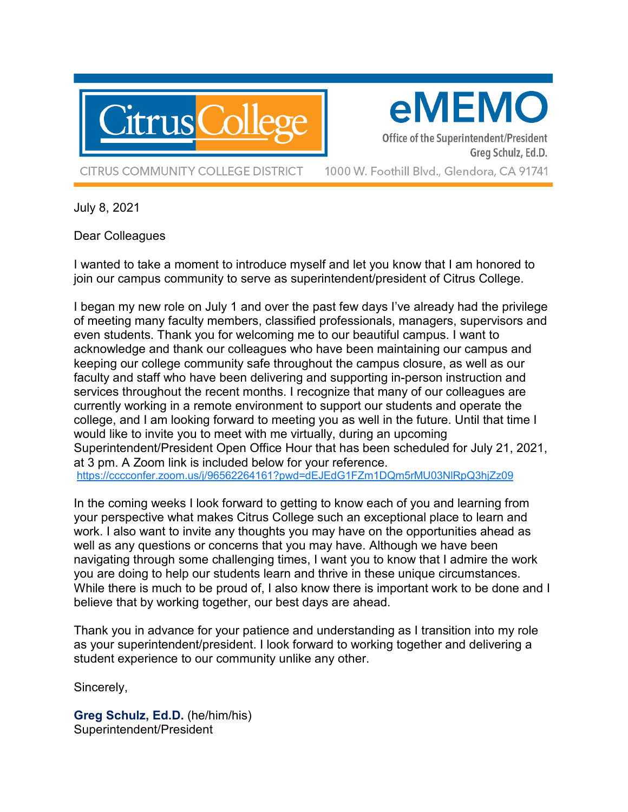

eMEMO

Office of the Superintendent/President Greg Schulz, Ed.D.

**CITRUS COMMUNITY COLLEGE DISTRICT** 

1000 W. Foothill Blvd., Glendora, CA 91741

July 8, 2021

Dear Colleagues

I wanted to take a moment to introduce myself and let you know that I am honored to join our campus community to serve as superintendent/president of Citrus College.

I began my new role on July 1 and over the past few days I've already had the privilege of meeting many faculty members, classified professionals, managers, supervisors and even students. Thank you for welcoming me to our beautiful campus. I want to acknowledge and thank our colleagues who have been maintaining our campus and keeping our college community safe throughout the campus closure, as well as our faculty and staff who have been delivering and supporting in-person instruction and services throughout the recent months. I recognize that many of our colleagues are currently working in a remote environment to support our students and operate the college, and I am looking forward to meeting you as well in the future. Until that time I would like to invite you to meet with me virtually, during an upcoming Superintendent/President Open Office Hour that has been scheduled for July 21, 2021, at 3 pm. A Zoom link is included below for your reference. <https://cccconfer.zoom.us/j/96562264161?pwd=dEJEdG1FZm1DQm5rMU03NlRpQ3hjZz09>

In the coming weeks I look forward to getting to know each of you and learning from your perspective what makes Citrus College such an exceptional place to learn and work. I also want to invite any thoughts you may have on the opportunities ahead as well as any questions or concerns that you may have. Although we have been navigating through some challenging times, I want you to know that I admire the work you are doing to help our students learn and thrive in these unique circumstances. While there is much to be proud of, I also know there is important work to be done and I believe that by working together, our best days are ahead.

Thank you in advance for your patience and understanding as I transition into my role as your superintendent/president. I look forward to working together and delivering a student experience to our community unlike any other.

Sincerely,

**Greg Schulz, Ed.D.** (he/him/his) Superintendent/President